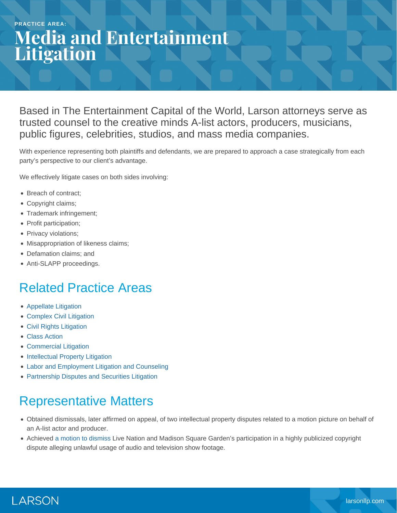#### **PRACTICE AREA:**

# **Media and Entertainment Litigation**

Based in The Entertainment Capital of the World, Larson attorneys serve as trusted counsel to the creative minds A-list actors, producers, musicians, public figures, celebrities, studios, and mass media companies.

With experience representing both plaintiffs and defendants, we are prepared to approach a case strategically from each party's perspective to our client's advantage.

We effectively litigate cases on both sides involving:

- Breach of contract;
- Copyright claims;
- Trademark infringement;
- Profit participation;
- Privacy violations;
- Misappropriation of likeness claims;
- Defamation claims; and
- Anti-SLAPP proceedings.

#### Related Practice Areas

- [Appellate Litigation](https://www.larsonllp.com/practice-areas/appellate-litigation/)
- [Complex Civil Litigation](https://www.larsonllp.com/practice-areas/complex-civil-litigation/)
- [Civil Rights Litigation](https://www.larsonllp.com/practice-areas/complex-civil-litigation/civil-rights-litigation/)
- [Class Action](https://www.larsonllp.com/practice-areas/complex-civil-litigation/class-action/)
- [Commercial Litigation](https://www.larsonllp.com/practice-areas/complex-civil-litigation/commercial-litigation/)
- [Intellectual Property Litigation](https://www.larsonllp.com/practice-areas/complex-civil-litigation/intellectual-property-litigation/)
- [Labor and Employment Litigation and Counseling](https://www.larsonllp.com/practice-areas/complex-civil-litigation/labor-and-employment-litigation-and-counseling/)
- [Partnership Disputes and Securities Litigation](https://www.larsonllp.com/practice-areas/complex-civil-litigation/partnership-disputes-and-securities-litigation/)

### Representative Matters

- Obtained dismissals, later affirmed on appeal, of two intellectual property disputes related to a motion picture on behalf of an A-list actor and producer.
- Achieved [a motion to dismiss](https://www.larsonllp.com/live-nation-others-cut-loose-from-ip-fight/) Live Nation and Madison Square Garden's participation in a highly publicized copyright dispute alleging unlawful usage of audio and television show footage.